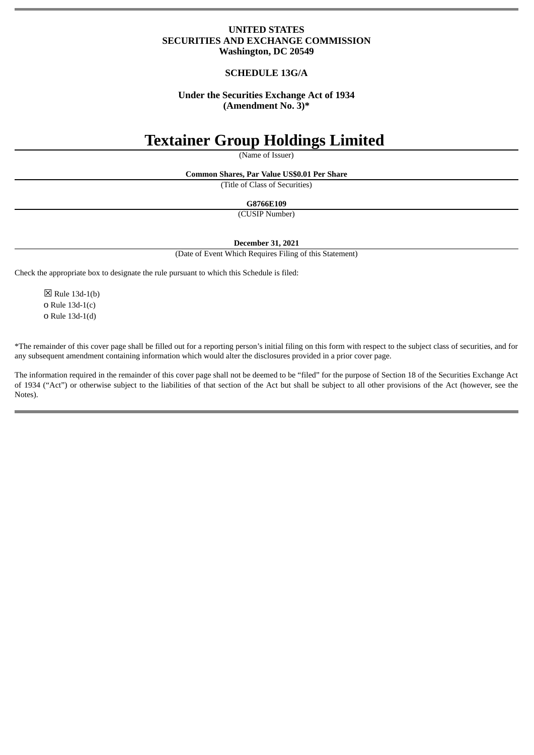## **UNITED STATES SECURITIES AND EXCHANGE COMMISSION Washington, DC 20549**

# **SCHEDULE 13G/A**

## **Under the Securities Exchange Act of 1934 (Amendment No. 3)\***

# **Textainer Group Holdings Limited**

(Name of Issuer)

**Common Shares, Par Value US\$0.01 Per Share**

(Title of Class of Securities)

**G8766E109**

(CUSIP Number)

**December 31, 2021**

(Date of Event Which Requires Filing of this Statement)

Check the appropriate box to designate the rule pursuant to which this Schedule is filed:

 $\boxtimes$  Rule 13d-1(b) o Rule 13d-1(c) o Rule 13d-1(d)

\*The remainder of this cover page shall be filled out for a reporting person's initial filing on this form with respect to the subject class of securities, and for any subsequent amendment containing information which would alter the disclosures provided in a prior cover page.

The information required in the remainder of this cover page shall not be deemed to be "filed" for the purpose of Section 18 of the Securities Exchange Act of 1934 ("Act") or otherwise subject to the liabilities of that section of the Act but shall be subject to all other provisions of the Act (however, see the Notes).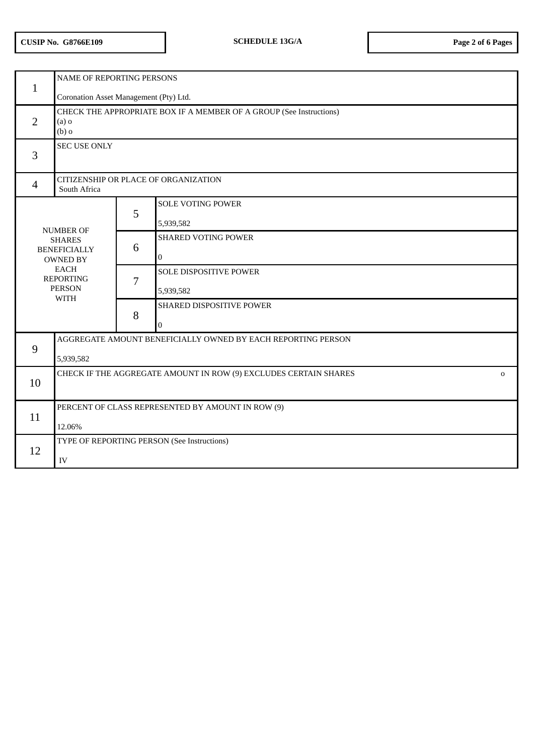| $\mathbf{1}$                                                                                                                                   | NAME OF REPORTING PERSONS                                                                 |   |                            |  |
|------------------------------------------------------------------------------------------------------------------------------------------------|-------------------------------------------------------------------------------------------|---|----------------------------|--|
|                                                                                                                                                | Coronation Asset Management (Pty) Ltd.                                                    |   |                            |  |
| 2                                                                                                                                              | CHECK THE APPROPRIATE BOX IF A MEMBER OF A GROUP (See Instructions)<br>$(a)$ o<br>$(b)$ o |   |                            |  |
| 3                                                                                                                                              | <b>SEC USE ONLY</b>                                                                       |   |                            |  |
| $\overline{4}$                                                                                                                                 | CITIZENSHIP OR PLACE OF ORGANIZATION<br>South Africa                                      |   |                            |  |
|                                                                                                                                                |                                                                                           | 5 | <b>SOLE VOTING POWER</b>   |  |
| <b>NUMBER OF</b><br><b>SHARES</b><br><b>BENEFICIALLY</b><br><b>OWNED BY</b><br><b>EACH</b><br><b>REPORTING</b><br><b>PERSON</b><br><b>WITH</b> |                                                                                           |   | 5,939,582                  |  |
|                                                                                                                                                |                                                                                           | 6 | <b>SHARED VOTING POWER</b> |  |
|                                                                                                                                                |                                                                                           |   | $\mathbf{0}$               |  |
|                                                                                                                                                |                                                                                           | 7 | SOLE DISPOSITIVE POWER     |  |
|                                                                                                                                                |                                                                                           |   | 5,939,582                  |  |
|                                                                                                                                                |                                                                                           | 8 | SHARED DISPOSITIVE POWER   |  |
|                                                                                                                                                |                                                                                           |   | 0                          |  |
| 9                                                                                                                                              | AGGREGATE AMOUNT BENEFICIALLY OWNED BY EACH REPORTING PERSON                              |   |                            |  |
|                                                                                                                                                | 5,939,582                                                                                 |   |                            |  |
| 10                                                                                                                                             | CHECK IF THE AGGREGATE AMOUNT IN ROW (9) EXCLUDES CERTAIN SHARES<br>$\mathbf 0$           |   |                            |  |
|                                                                                                                                                |                                                                                           |   |                            |  |
| 11                                                                                                                                             | PERCENT OF CLASS REPRESENTED BY AMOUNT IN ROW (9)                                         |   |                            |  |
|                                                                                                                                                | 12.06%                                                                                    |   |                            |  |
| 12                                                                                                                                             | TYPE OF REPORTING PERSON (See Instructions)                                               |   |                            |  |
|                                                                                                                                                | ${\rm IV}$                                                                                |   |                            |  |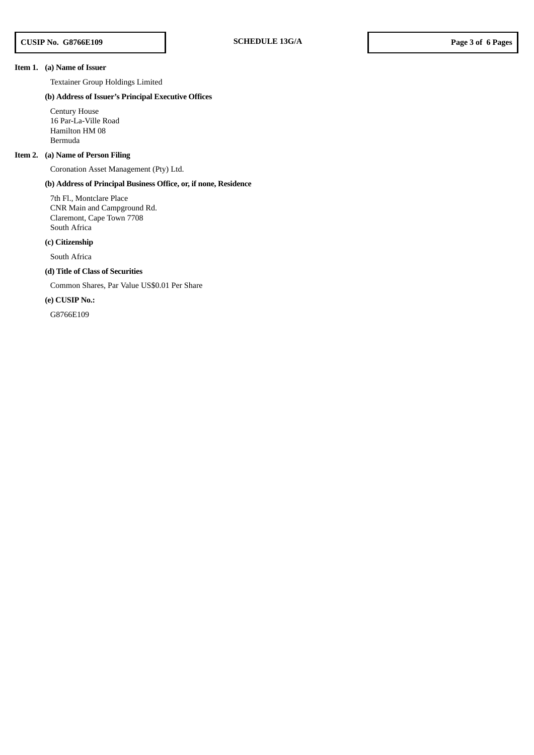#### **Item 1. (a) Name of Issuer**

Textainer Group Holdings Limited

## **(b) Address of Issuer's Principal Executive Offices**

Century House 16 Par-La-Ville Road Hamilton HM 08 Bermuda

## **Item 2. (a) Name of Person Filing**

Coronation Asset Management (Pty) Ltd.

## **(b) Address of Principal Business Office, or, if none, Residence**

7th Fl., Montclare Place CNR Main and Campground Rd. Claremont, Cape Town 7708 South Africa

## **(c) Citizenship**

South Africa

## **(d) Title of Class of Securities**

Common Shares, Par Value US\$0.01 Per Share

## **(e) CUSIP No.:**

G8766E109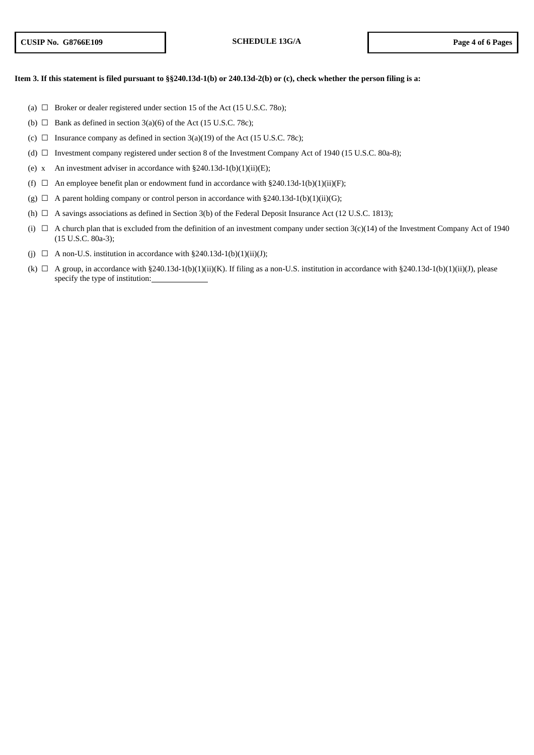#### Item 3. If this statement is filed pursuant to §§240.13d-1(b) or 240.13d-2(b) or (c), check whether the person filing is a:

- (a)  $\Box$  Broker or dealer registered under section 15 of the Act (15 U.S.C. 78o);
- (b)  $\Box$  Bank as defined in section 3(a)(6) of the Act (15 U.S.C. 78c);
- (c)  $\Box$  Insurance company as defined in section 3(a)(19) of the Act (15 U.S.C. 78c);
- (d) ☐ Investment company registered under section 8 of the Investment Company Act of 1940 (15 U.S.C. 80a-8);
- (e) x An investment adviser in accordance with  $\S 240.13d-1(b)(1)(ii)(E)$ ;
- (f)  $\Box$  An employee benefit plan or endowment fund in accordance with §240.13d-1(b)(1)(ii)(F);
- (g)  $\Box$  A parent holding company or control person in accordance with §240.13d-1(b)(1)(ii)(G);
- (h)  $\Box$  A savings associations as defined in Section 3(b) of the Federal Deposit Insurance Act (12 U.S.C. 1813);
- (i)  $\Box$  A church plan that is excluded from the definition of an investment company under section 3(c)(14) of the Investment Company Act of 1940 (15 U.S.C. 80a-3);
- (j)  $\Box$  A non-U.S. institution in accordance with §240.13d-1(b)(1)(ii)(J);
- (k)  $\Box$  A group, in accordance with §240.13d-1(b)(1)(ii)(K). If filing as a non-U.S. institution in accordance with §240.13d-1(b)(1)(ii)(J), please specify the type of institution: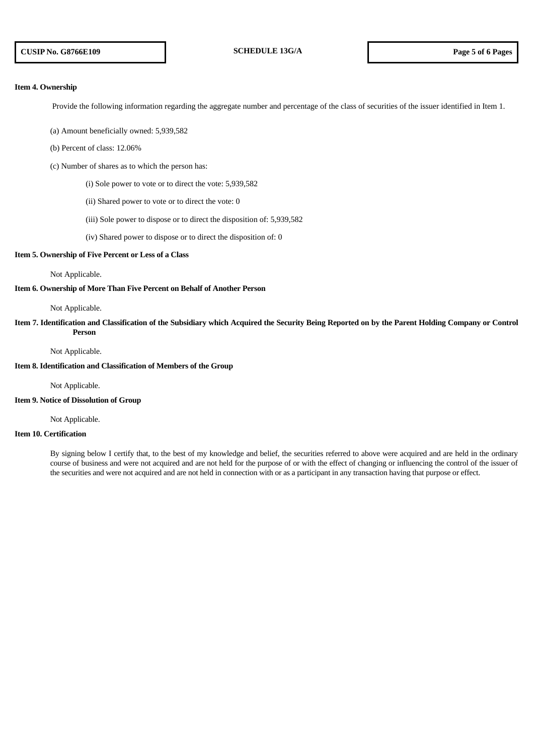#### **Item 4. Ownership**

Provide the following information regarding the aggregate number and percentage of the class of securities of the issuer identified in Item 1.

(a) Amount beneficially owned: 5,939,582

(b) Percent of class: 12.06%

(c) Number of shares as to which the person has:

(i) Sole power to vote or to direct the vote: 5,939,582

- (ii) Shared power to vote or to direct the vote: 0
- (iii) Sole power to dispose or to direct the disposition of: 5,939,582
- (iv) Shared power to dispose or to direct the disposition of: 0

#### **Item 5. Ownership of Five Percent or Less of a Class**

#### Not Applicable.

#### **Item 6. Ownership of More Than Five Percent on Behalf of Another Person**

#### Not Applicable.

Item 7. Identification and Classification of the Subsidiary which Acquired the Security Being Reported on by the Parent Holding Company or Control **Person**

#### Not Applicable.

#### **Item 8. Identification and Classification of Members of the Group**

Not Applicable.

#### **Item 9. Notice of Dissolution of Group**

Not Applicable.

## **Item 10. Certification**

By signing below I certify that, to the best of my knowledge and belief, the securities referred to above were acquired and are held in the ordinary course of business and were not acquired and are not held for the purpose of or with the effect of changing or influencing the control of the issuer of the securities and were not acquired and are not held in connection with or as a participant in any transaction having that purpose or effect.